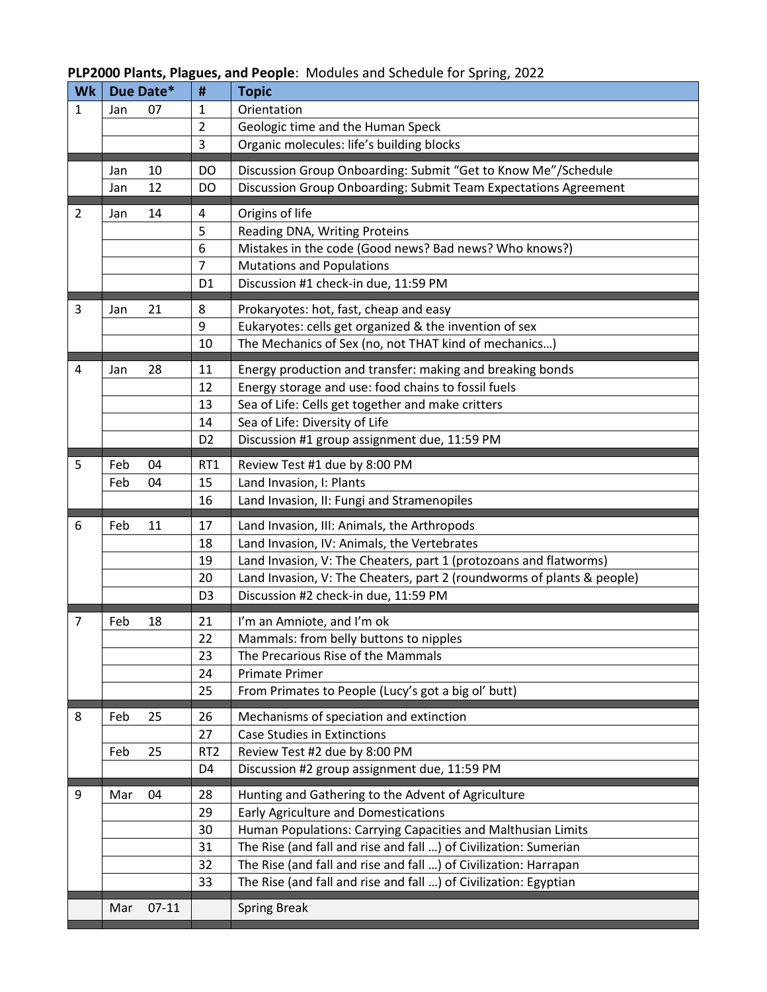# **PLP2000 Plants, Plagues, and People**: Modules and Schedule for Spring, 2022

|                | Due Date* |    | #               | <b>Topic</b>                                                           |
|----------------|-----------|----|-----------------|------------------------------------------------------------------------|
| $\mathbf{1}$   | Jan       | 07 | $\mathbf{1}$    | Orientation                                                            |
|                |           |    | $\overline{2}$  | Geologic time and the Human Speck                                      |
|                |           |    | 3               | Organic molecules: life's building blocks                              |
|                | Jan       | 10 | DO              | Discussion Group Onboarding: Submit "Get to Know Me"/Schedule          |
|                | Jan       | 12 | DO              | Discussion Group Onboarding: Submit Team Expectations Agreement        |
| $\overline{2}$ | Jan       | 14 | 4               | Origins of life                                                        |
|                |           |    | 5               | Reading DNA, Writing Proteins                                          |
|                |           |    | 6               | Mistakes in the code (Good news? Bad news? Who knows?)                 |
|                |           |    | $\overline{7}$  | <b>Mutations and Populations</b>                                       |
|                |           |    | D <sub>1</sub>  | Discussion #1 check-in due, 11:59 PM                                   |
| 3              | Jan       | 21 | 8               | Prokaryotes: hot, fast, cheap and easy                                 |
|                |           |    | 9               | Eukaryotes: cells get organized & the invention of sex                 |
|                |           |    | 10              | The Mechanics of Sex (no, not THAT kind of mechanics)                  |
| 4              | Jan       | 28 | 11              | Energy production and transfer: making and breaking bonds              |
|                |           |    | 12              | Energy storage and use: food chains to fossil fuels                    |
|                |           |    | 13              | Sea of Life: Cells get together and make critters                      |
|                |           |    | 14              | Sea of Life: Diversity of Life                                         |
|                |           |    | D <sub>2</sub>  | Discussion #1 group assignment due, 11:59 PM                           |
| 5              | Feb       | 04 | RT <sub>1</sub> | Review Test #1 due by 8:00 PM                                          |
|                | Feb       | 04 | 15              | Land Invasion, I: Plants                                               |
|                |           |    | 16              | Land Invasion, II: Fungi and Stramenopiles                             |
| 6              | Feb       | 11 | 17              | Land Invasion, III: Animals, the Arthropods                            |
|                |           |    | 18              | Land Invasion, IV: Animals, the Vertebrates                            |
|                |           |    | 19              | Land Invasion, V: The Cheaters, part 1 (protozoans and flatworms)      |
|                |           |    | 20              | Land Invasion, V: The Cheaters, part 2 (roundworms of plants & people) |
|                |           |    |                 | Discussion #2 check-in due, 11:59 PM                                   |
|                |           |    | D <sub>3</sub>  |                                                                        |
| 7              | Feb       | 18 | 21              | I'm an Amniote, and I'm ok                                             |
|                |           |    | 22              | Mammals: from belly buttons to nipples                                 |
|                |           |    | 23              | The Precarious Rise of the Mammals                                     |
|                |           |    | 24              | <b>Primate Primer</b>                                                  |
|                |           |    | 25              | From Primates to People (Lucy's got a big ol' butt)                    |
| 8              | Feb       | 25 | 26              | Mechanisms of speciation and extinction                                |
|                |           |    | 27              | <b>Case Studies in Extinctions</b>                                     |
|                | Feb       | 25 | RT <sub>2</sub> | Review Test #2 due by 8:00 PM                                          |
|                |           |    | D4              | Discussion #2 group assignment due, 11:59 PM                           |
| 9              | Mar       | 04 | 28              | Hunting and Gathering to the Advent of Agriculture                     |
|                |           |    | 29              | Early Agriculture and Domestications                                   |
|                |           |    | 30              | Human Populations: Carrying Capacities and Malthusian Limits           |
|                |           |    | 31              | The Rise (and fall and rise and fall ) of Civilization: Sumerian       |
|                |           |    | 32              | The Rise (and fall and rise and fall ) of Civilization: Harrapan       |
|                |           |    | 33              | The Rise (and fall and rise and fall ) of Civilization: Egyptian       |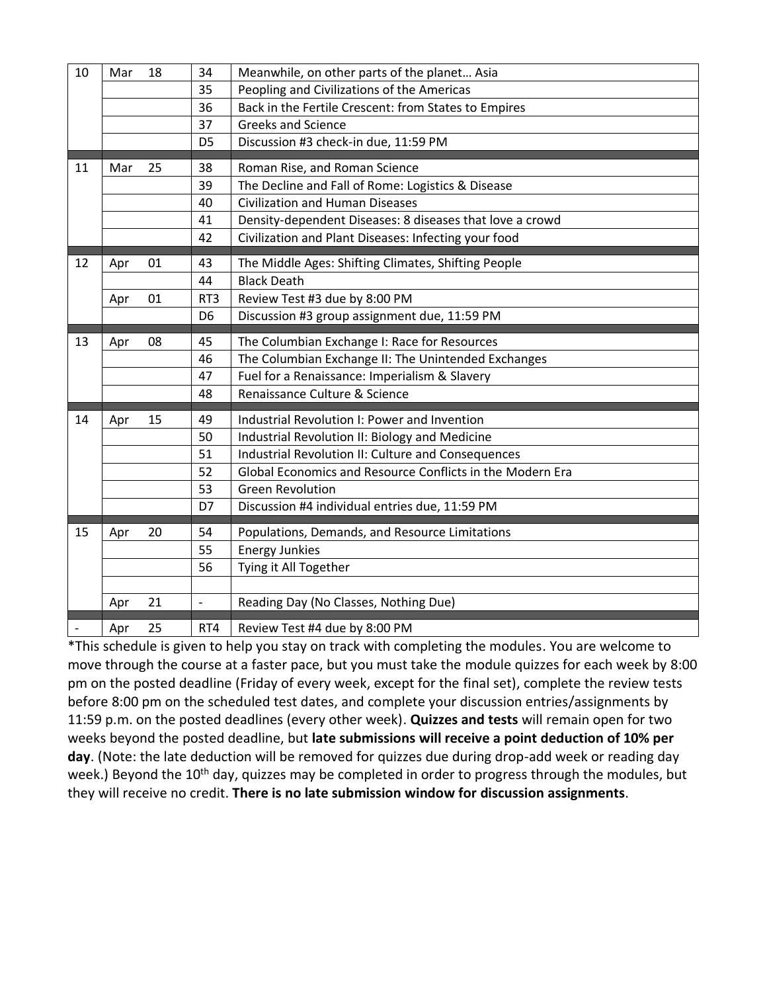| 10 | Mar | 18 | 34             | Meanwhile, on other parts of the planet Asia              |
|----|-----|----|----------------|-----------------------------------------------------------|
|    |     |    | 35             | Peopling and Civilizations of the Americas                |
|    |     |    | 36             | Back in the Fertile Crescent: from States to Empires      |
|    |     |    | 37             | <b>Greeks and Science</b>                                 |
|    |     |    | D <sub>5</sub> | Discussion #3 check-in due, 11:59 PM                      |
| 11 | Mar | 25 | 38             | Roman Rise, and Roman Science                             |
|    |     |    | 39             | The Decline and Fall of Rome: Logistics & Disease         |
|    |     |    | 40             | <b>Civilization and Human Diseases</b>                    |
|    |     |    | 41             | Density-dependent Diseases: 8 diseases that love a crowd  |
|    |     |    | 42             | Civilization and Plant Diseases: Infecting your food      |
| 12 | Apr | 01 | 43             | The Middle Ages: Shifting Climates, Shifting People       |
|    |     |    | 44             | <b>Black Death</b>                                        |
|    | Apr | 01 | RT3            | Review Test #3 due by 8:00 PM                             |
|    |     |    | D <sub>6</sub> | Discussion #3 group assignment due, 11:59 PM              |
| 13 | Apr | 08 | 45             | The Columbian Exchange I: Race for Resources              |
|    |     |    | 46             | The Columbian Exchange II: The Unintended Exchanges       |
|    |     |    | 47             | Fuel for a Renaissance: Imperialism & Slavery             |
|    |     |    | 48             | Renaissance Culture & Science                             |
|    |     |    |                |                                                           |
| 14 | Apr | 15 | 49             | Industrial Revolution I: Power and Invention              |
|    |     |    | 50             | Industrial Revolution II: Biology and Medicine            |
|    |     |    | 51             | Industrial Revolution II: Culture and Consequences        |
|    |     |    | 52             | Global Economics and Resource Conflicts in the Modern Era |
|    |     |    | 53             | <b>Green Revolution</b>                                   |
|    |     |    | D7             | Discussion #4 individual entries due, 11:59 PM            |
| 15 | Apr | 20 | 54             | Populations, Demands, and Resource Limitations            |
|    |     |    | 55             | <b>Energy Junkies</b>                                     |
|    |     |    | 56             | Tying it All Together                                     |
|    |     |    |                |                                                           |
|    | Apr | 21 | $\frac{1}{2}$  | Reading Day (No Classes, Nothing Due)                     |
|    | Apr | 25 | RT4            | Review Test #4 due by 8:00 PM                             |

\*This schedule is given to help you stay on track with completing the modules. You are welcome to move through the course at a faster pace, but you must take the module quizzes for each week by 8:00 pm on the posted deadline (Friday of every week, except for the final set), complete the review tests before 8:00 pm on the scheduled test dates, and complete your discussion entries/assignments by 11:59 p.m. on the posted deadlines (every other week). **Quizzes and tests** will remain open for two weeks beyond the posted deadline, but **late submissions will receive a point deduction of 10% per day**. (Note: the late deduction will be removed for quizzes due during drop-add week or reading day week.) Beyond the 10<sup>th</sup> day, quizzes may be completed in order to progress through the modules, but they will receive no credit. **There is no late submission window for discussion assignments**.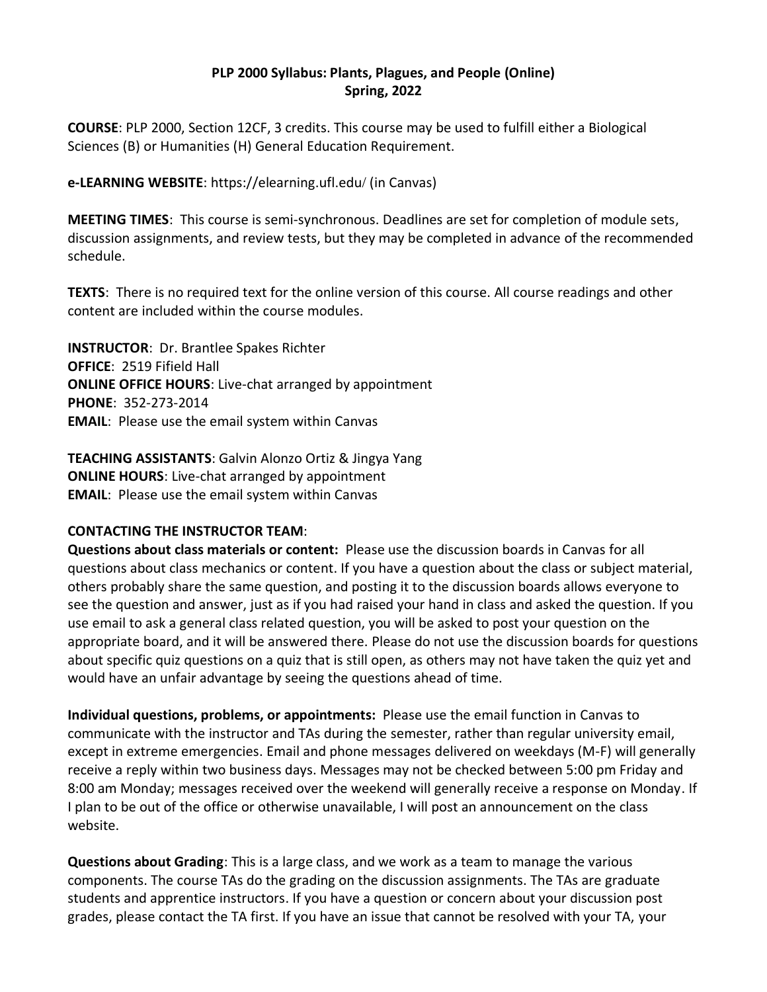#### **PLP 2000 Syllabus: Plants, Plagues, and People (Online) Spring, 2022**

**COURSE**: PLP 2000, Section 12CF, 3 credits. This course may be used to fulfill either a Biological Sciences (B) or Humanities (H) General Education Requirement.

## **e-LEARNING WEBSITE**: https://elearning.ufl.edu/ (in Canvas)

**MEETING TIMES**: This course is semi-synchronous. Deadlines are set for completion of module sets, discussion assignments, and review tests, but they may be completed in advance of the recommended schedule.

**TEXTS**: There is no required text for the online version of this course. All course readings and other content are included within the course modules.

**INSTRUCTOR**: Dr. Brantlee Spakes Richter **OFFICE**: 2519 Fifield Hall **ONLINE OFFICE HOURS**: Live-chat arranged by appointment **PHONE**: 352-273-2014 **EMAIL**: Please use the email system within Canvas

## **TEACHING ASSISTANTS**: Galvin Alonzo Ortiz & Jingya Yang **ONLINE HOURS**: Live-chat arranged by appointment **EMAIL**: Please use the email system within Canvas

# **CONTACTING THE INSTRUCTOR TEAM**:

**Questions about class materials or content:** Please use the discussion boards in Canvas for all questions about class mechanics or content. If you have a question about the class or subject material, others probably share the same question, and posting it to the discussion boards allows everyone to see the question and answer, just as if you had raised your hand in class and asked the question. If you use email to ask a general class related question, you will be asked to post your question on the appropriate board, and it will be answered there. Please do not use the discussion boards for questions about specific quiz questions on a quiz that is still open, as others may not have taken the quiz yet and would have an unfair advantage by seeing the questions ahead of time.

**Individual questions, problems, or appointments:** Please use the email function in Canvas to communicate with the instructor and TAs during the semester, rather than regular university email, except in extreme emergencies. Email and phone messages delivered on weekdays (M-F) will generally receive a reply within two business days. Messages may not be checked between 5:00 pm Friday and 8:00 am Monday; messages received over the weekend will generally receive a response on Monday. If I plan to be out of the office or otherwise unavailable, I will post an announcement on the class website.

**Questions about Grading**: This is a large class, and we work as a team to manage the various components. The course TAs do the grading on the discussion assignments. The TAs are graduate students and apprentice instructors. If you have a question or concern about your discussion post grades, please contact the TA first. If you have an issue that cannot be resolved with your TA, your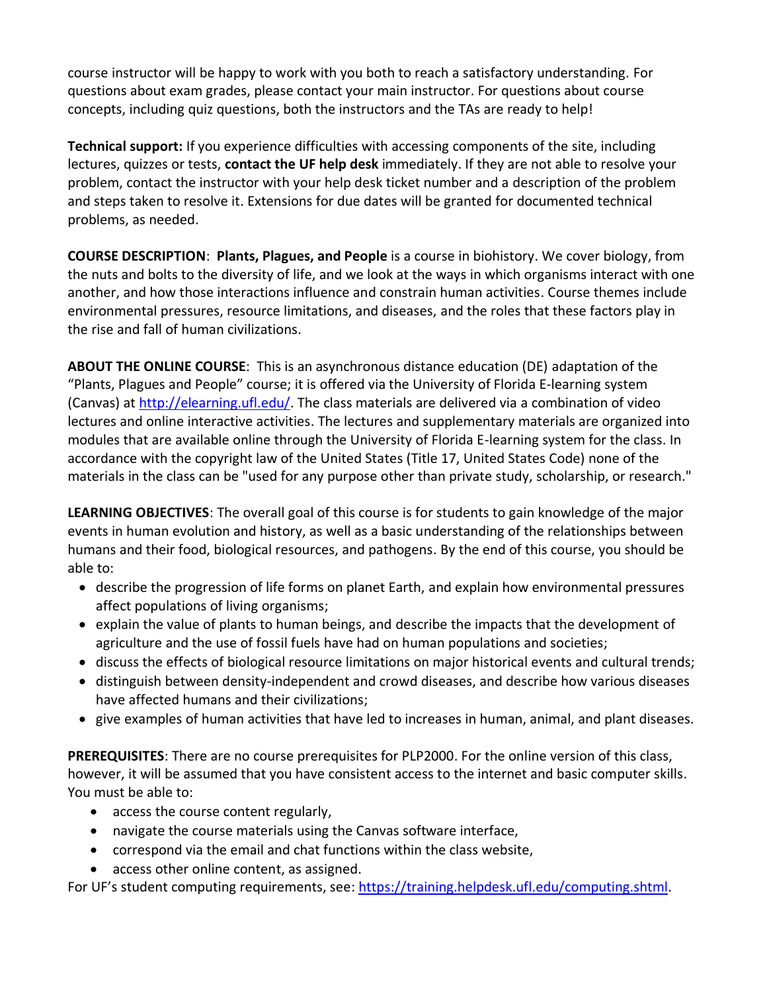course instructor will be happy to work with you both to reach a satisfactory understanding. For questions about exam grades, please contact your main instructor. For questions about course concepts, including quiz questions, both the instructors and the TAs are ready to help!

**Technical support:** If you experience difficulties with accessing components of the site, including lectures, quizzes or tests, **contact the UF help desk** immediately. If they are not able to resolve your problem, contact the instructor with your help desk ticket number and a description of the problem and steps taken to resolve it. Extensions for due dates will be granted for documented technical problems, as needed.

**COURSE DESCRIPTION**: **Plants, Plagues, and People** is a course in biohistory. We cover biology, from the nuts and bolts to the diversity of life, and we look at the ways in which organisms interact with one another, and how those interactions influence and constrain human activities. Course themes include environmental pressures, resource limitations, and diseases, and the roles that these factors play in the rise and fall of human civilizations.

**ABOUT THE ONLINE COURSE**: This is an asynchronous distance education (DE) adaptation of the "Plants, Plagues and People" course; it is offered via the University of Florida E-learning system (Canvas) at [http://elearning.ufl.edu/.](https://elearning2.courses.ufl.edu/) The class materials are delivered via a combination of video lectures and online interactive activities. The lectures and supplementary materials are organized into modules that are available online through the University of Florida E-learning system for the class. In accordance with the copyright law of the United States (Title 17, United States Code) none of the materials in the class can be "used for any purpose other than private study, scholarship, or research."

**LEARNING OBJECTIVES**: The overall goal of this course is for students to gain knowledge of the major events in human evolution and history, as well as a basic understanding of the relationships between humans and their food, biological resources, and pathogens. By the end of this course, you should be able to:

- describe the progression of life forms on planet Earth, and explain how environmental pressures affect populations of living organisms;
- explain the value of plants to human beings, and describe the impacts that the development of agriculture and the use of fossil fuels have had on human populations and societies;
- discuss the effects of biological resource limitations on major historical events and cultural trends;
- distinguish between density-independent and crowd diseases, and describe how various diseases have affected humans and their civilizations;
- give examples of human activities that have led to increases in human, animal, and plant diseases.

**PREREQUISITES**: There are no course prerequisites for PLP2000. For the online version of this class, however, it will be assumed that you have consistent access to the internet and basic computer skills. You must be able to:

- access the course content regularly,
- navigate the course materials using the Canvas software interface,
- correspond via the email and chat functions within the class website,
- access other online content, as assigned.

For UF's student computing requirements, see: [https://training.helpdesk.ufl.edu/computing.shtml.](https://training.helpdesk.ufl.edu/computing.shtml)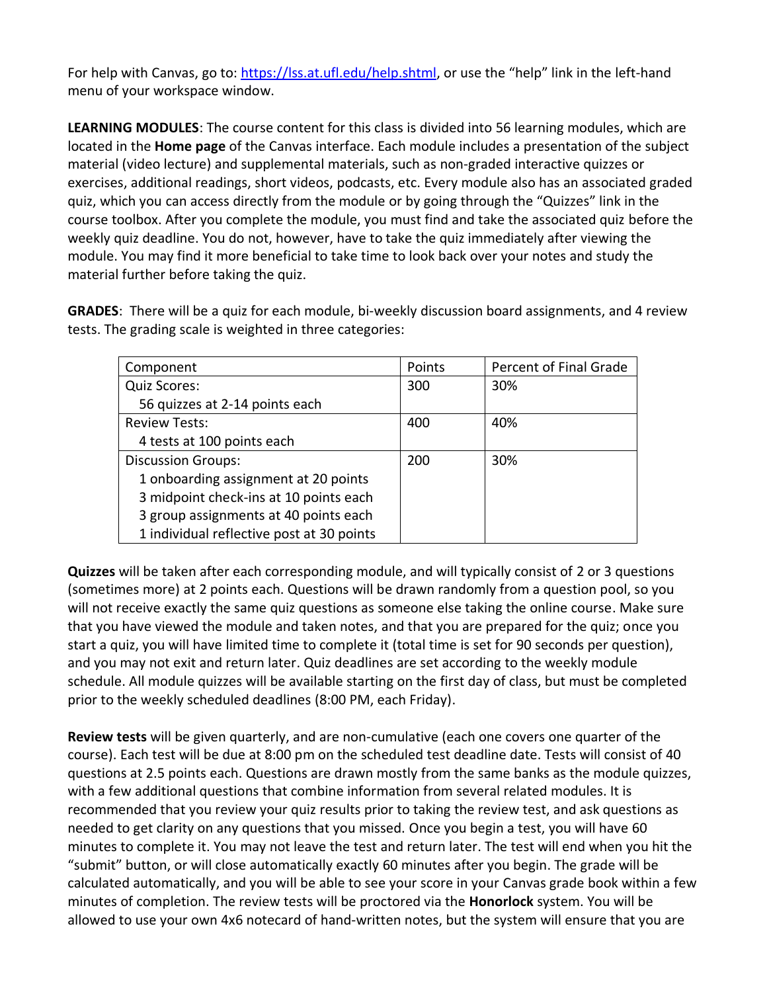For help with Canvas, go to:<https://lss.at.ufl.edu/help.shtml>, or use the "help" link in the left-hand menu of your workspace window.

**LEARNING MODULES**: The course content for this class is divided into 56 learning modules, which are located in the **Home page** of the Canvas interface. Each module includes a presentation of the subject material (video lecture) and supplemental materials, such as non-graded interactive quizzes or exercises, additional readings, short videos, podcasts, etc. Every module also has an associated graded quiz, which you can access directly from the module or by going through the "Quizzes" link in the course toolbox. After you complete the module, you must find and take the associated quiz before the weekly quiz deadline. You do not, however, have to take the quiz immediately after viewing the module. You may find it more beneficial to take time to look back over your notes and study the material further before taking the quiz.

**GRADES**: There will be a quiz for each module, bi-weekly discussion board assignments, and 4 review tests. The grading scale is weighted in three categories:

| Component                                 | Points | Percent of Final Grade |
|-------------------------------------------|--------|------------------------|
| Quiz Scores:                              | 300    | 30%                    |
| 56 quizzes at 2-14 points each            |        |                        |
| <b>Review Tests:</b>                      | 400    | 40%                    |
| 4 tests at 100 points each                |        |                        |
| <b>Discussion Groups:</b>                 | 200    | 30%                    |
| 1 onboarding assignment at 20 points      |        |                        |
| 3 midpoint check-ins at 10 points each    |        |                        |
| 3 group assignments at 40 points each     |        |                        |
| 1 individual reflective post at 30 points |        |                        |

**Quizzes** will be taken after each corresponding module, and will typically consist of 2 or 3 questions (sometimes more) at 2 points each. Questions will be drawn randomly from a question pool, so you will not receive exactly the same quiz questions as someone else taking the online course. Make sure that you have viewed the module and taken notes, and that you are prepared for the quiz; once you start a quiz, you will have limited time to complete it (total time is set for 90 seconds per question), and you may not exit and return later. Quiz deadlines are set according to the weekly module schedule. All module quizzes will be available starting on the first day of class, but must be completed prior to the weekly scheduled deadlines (8:00 PM, each Friday).

**Review tests** will be given quarterly, and are non-cumulative (each one covers one quarter of the course). Each test will be due at 8:00 pm on the scheduled test deadline date. Tests will consist of 40 questions at 2.5 points each. Questions are drawn mostly from the same banks as the module quizzes, with a few additional questions that combine information from several related modules. It is recommended that you review your quiz results prior to taking the review test, and ask questions as needed to get clarity on any questions that you missed. Once you begin a test, you will have 60 minutes to complete it. You may not leave the test and return later. The test will end when you hit the "submit" button, or will close automatically exactly 60 minutes after you begin. The grade will be calculated automatically, and you will be able to see your score in your Canvas grade book within a few minutes of completion. The review tests will be proctored via the **Honorlock** system. You will be allowed to use your own 4x6 notecard of hand-written notes, but the system will ensure that you are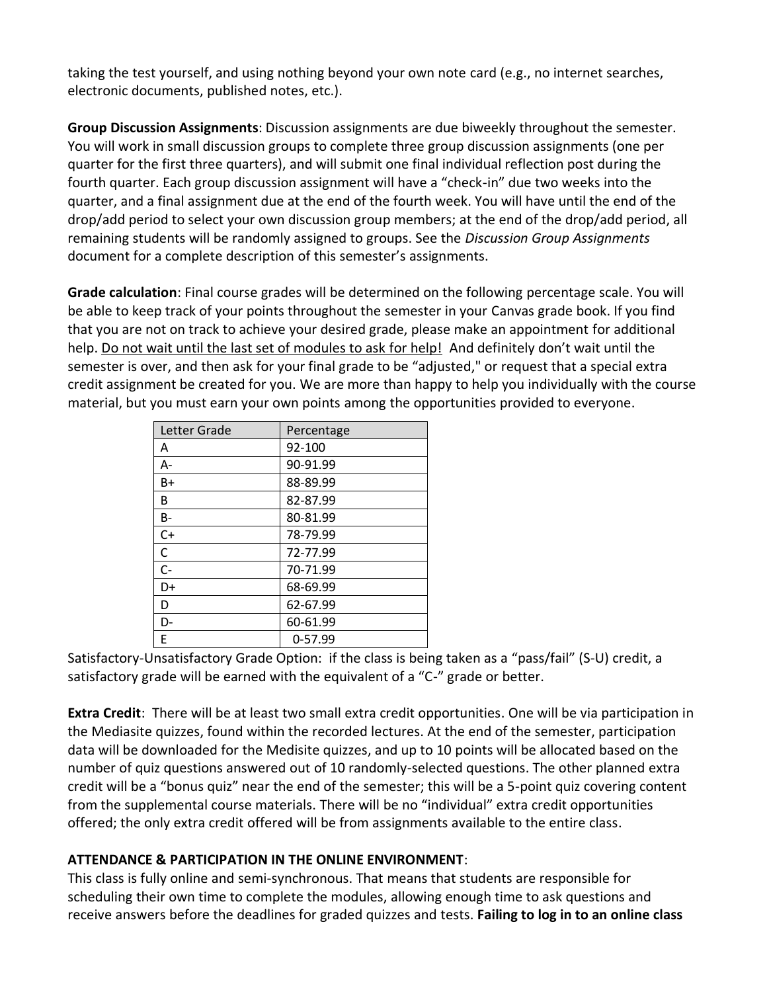taking the test yourself, and using nothing beyond your own note card (e.g., no internet searches, electronic documents, published notes, etc.).

**Group Discussion Assignments**: Discussion assignments are due biweekly throughout the semester. You will work in small discussion groups to complete three group discussion assignments (one per quarter for the first three quarters), and will submit one final individual reflection post during the fourth quarter. Each group discussion assignment will have a "check-in" due two weeks into the quarter, and a final assignment due at the end of the fourth week. You will have until the end of the drop/add period to select your own discussion group members; at the end of the drop/add period, all remaining students will be randomly assigned to groups. See the *Discussion Group Assignments* document for a complete description of this semester's assignments.

**Grade calculation**: Final course grades will be determined on the following percentage scale. You will be able to keep track of your points throughout the semester in your Canvas grade book. If you find that you are not on track to achieve your desired grade, please make an appointment for additional help. Do not wait until the last set of modules to ask for help! And definitely don't wait until the semester is over, and then ask for your final grade to be "adjusted," or request that a special extra credit assignment be created for you. We are more than happy to help you individually with the course material, but you must earn your own points among the opportunities provided to everyone.

| Letter Grade | Percentage |  |  |
|--------------|------------|--|--|
| А            | 92-100     |  |  |
| А-           | 90-91.99   |  |  |
| B+           | 88-89.99   |  |  |
| B            | 82-87.99   |  |  |
| <b>B-</b>    | 80-81.99   |  |  |
| $C+$         | 78-79.99   |  |  |
| C            | 72-77.99   |  |  |
| $C -$        | 70-71.99   |  |  |
| D+           | 68-69.99   |  |  |
| D            | 62-67.99   |  |  |
| D-           | 60-61.99   |  |  |
| F            | $0-57.99$  |  |  |

Satisfactory-Unsatisfactory Grade Option: if the class is being taken as a "pass/fail" (S-U) credit, a satisfactory grade will be earned with the equivalent of a "C-" grade or better.

**Extra Credit**: There will be at least two small extra credit opportunities. One will be via participation in the Mediasite quizzes, found within the recorded lectures. At the end of the semester, participation data will be downloaded for the Medisite quizzes, and up to 10 points will be allocated based on the number of quiz questions answered out of 10 randomly-selected questions. The other planned extra credit will be a "bonus quiz" near the end of the semester; this will be a 5-point quiz covering content from the supplemental course materials. There will be no "individual" extra credit opportunities offered; the only extra credit offered will be from assignments available to the entire class.

## **ATTENDANCE & PARTICIPATION IN THE ONLINE ENVIRONMENT**:

This class is fully online and semi-synchronous. That means that students are responsible for scheduling their own time to complete the modules, allowing enough time to ask questions and receive answers before the deadlines for graded quizzes and tests. **Failing to log in to an online class**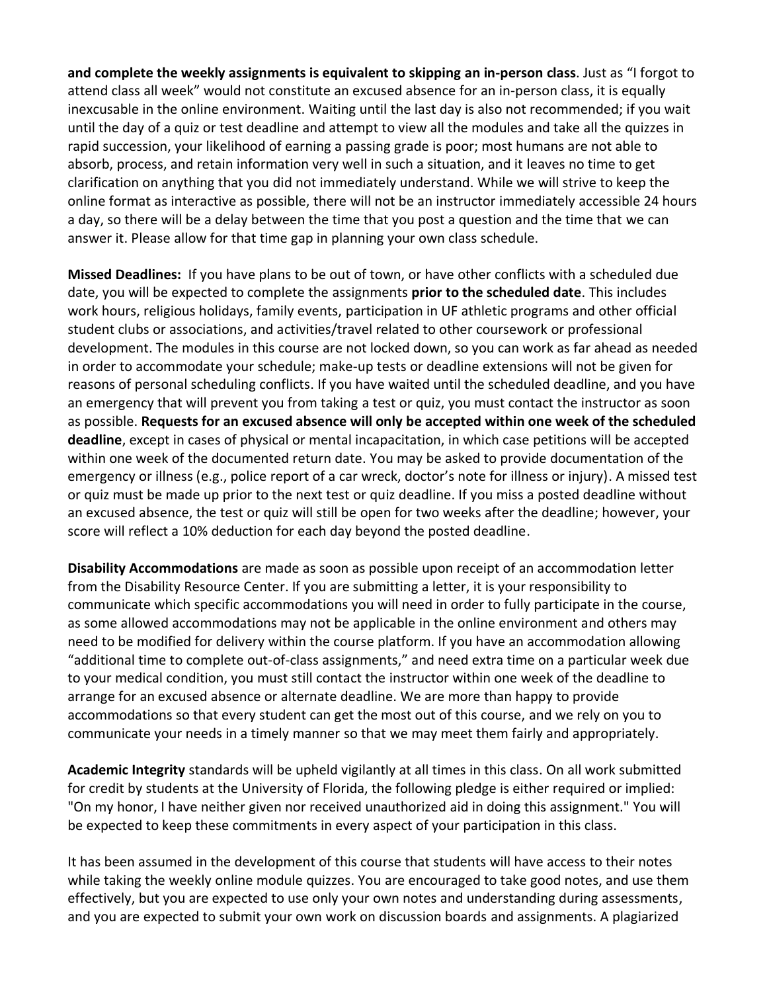**and complete the weekly assignments is equivalent to skipping an in-person class**. Just as "I forgot to attend class all week" would not constitute an excused absence for an in-person class, it is equally inexcusable in the online environment. Waiting until the last day is also not recommended; if you wait until the day of a quiz or test deadline and attempt to view all the modules and take all the quizzes in rapid succession, your likelihood of earning a passing grade is poor; most humans are not able to absorb, process, and retain information very well in such a situation, and it leaves no time to get clarification on anything that you did not immediately understand. While we will strive to keep the online format as interactive as possible, there will not be an instructor immediately accessible 24 hours a day, so there will be a delay between the time that you post a question and the time that we can answer it. Please allow for that time gap in planning your own class schedule.

**Missed Deadlines:** If you have plans to be out of town, or have other conflicts with a scheduled due date, you will be expected to complete the assignments **prior to the scheduled date**. This includes work hours, religious holidays, family events, participation in UF athletic programs and other official student clubs or associations, and activities/travel related to other coursework or professional development. The modules in this course are not locked down, so you can work as far ahead as needed in order to accommodate your schedule; make-up tests or deadline extensions will not be given for reasons of personal scheduling conflicts. If you have waited until the scheduled deadline, and you have an emergency that will prevent you from taking a test or quiz, you must contact the instructor as soon as possible. **Requests for an excused absence will only be accepted within one week of the scheduled deadline**, except in cases of physical or mental incapacitation, in which case petitions will be accepted within one week of the documented return date. You may be asked to provide documentation of the emergency or illness (e.g., police report of a car wreck, doctor's note for illness or injury). A missed test or quiz must be made up prior to the next test or quiz deadline. If you miss a posted deadline without an excused absence, the test or quiz will still be open for two weeks after the deadline; however, your score will reflect a 10% deduction for each day beyond the posted deadline.

**Disability Accommodations** are made as soon as possible upon receipt of an accommodation letter from the Disability Resource Center. If you are submitting a letter, it is your responsibility to communicate which specific accommodations you will need in order to fully participate in the course, as some allowed accommodations may not be applicable in the online environment and others may need to be modified for delivery within the course platform. If you have an accommodation allowing "additional time to complete out-of-class assignments," and need extra time on a particular week due to your medical condition, you must still contact the instructor within one week of the deadline to arrange for an excused absence or alternate deadline. We are more than happy to provide accommodations so that every student can get the most out of this course, and we rely on you to communicate your needs in a timely manner so that we may meet them fairly and appropriately.

**Academic Integrity** standards will be upheld vigilantly at all times in this class. On all work submitted for credit by students at the University of Florida, the following pledge is either required or implied: "On my honor, I have neither given nor received unauthorized aid in doing this assignment." You will be expected to keep these commitments in every aspect of your participation in this class.

It has been assumed in the development of this course that students will have access to their notes while taking the weekly online module quizzes. You are encouraged to take good notes, and use them effectively, but you are expected to use only your own notes and understanding during assessments, and you are expected to submit your own work on discussion boards and assignments. A plagiarized